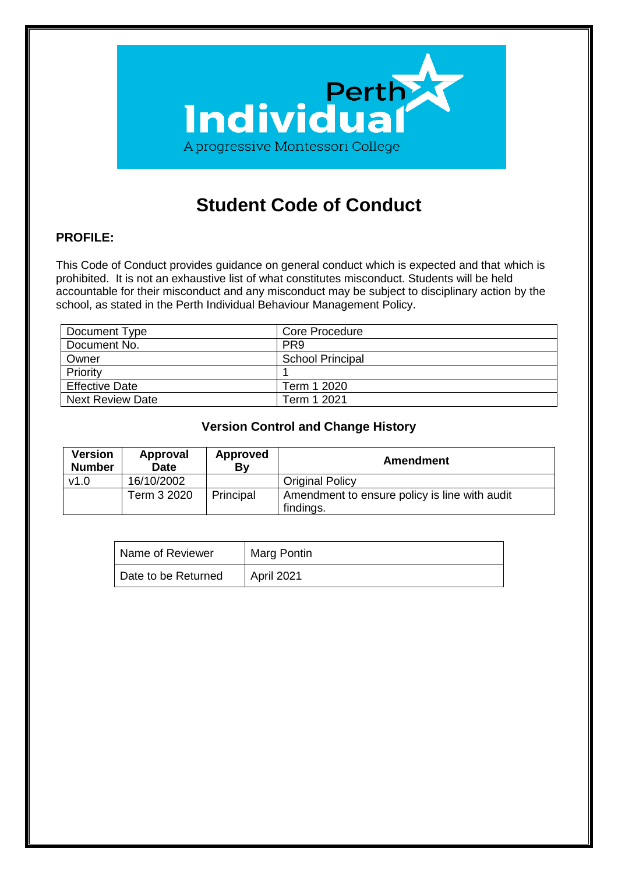

# **Student Code of Conduct**

# **PROFILE:**

This Code of Conduct provides guidance on general conduct which is expected and that which is prohibited. It is not an exhaustive list of what constitutes misconduct. Students will be held accountable for their misconduct and any misconduct may be subject to disciplinary action by the school, as stated in the Perth Individual Behaviour Management Policy.

| Document Type           | <b>Core Procedure</b>   |
|-------------------------|-------------------------|
| Document No.            | PR <sub>9</sub>         |
| Owner                   | <b>School Principal</b> |
| Priority                |                         |
| <b>Effective Date</b>   | Term 1 2020             |
| <b>Next Review Date</b> | Term 1 2021             |

#### **Version Control and Change History**

| <b>Version</b><br><b>Number</b> | Approval<br><b>Date</b> | <b>Approved</b><br>Bv | Amendment                                                  |
|---------------------------------|-------------------------|-----------------------|------------------------------------------------------------|
| v1.0                            | 16/10/2002              |                       | <b>Original Policy</b>                                     |
|                                 | Term 3 2020             | Principal             | Amendment to ensure policy is line with audit<br>findings. |

| Name of Reviewer    | Marg Pontin |
|---------------------|-------------|
| Date to be Returned | April 2021  |